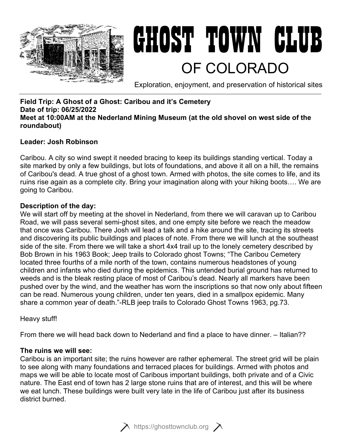

# GHOST TOWN CLUB OF COLORADO

Exploration, enjoyment, and preservation of historical sites

# **Field Trip: A Ghost of a Ghost: Caribou and it's Cemetery Date of trip: 06/25/2022 Meet at 10:00AM at the Nederland Mining Museum (at the old shovel on west side of the roundabout)**

# **Leader: Josh Robinson**

Caribou. A city so wind swept it needed bracing to keep its buildings standing vertical. Today a site marked by only a few buildings, but lots of foundations, and above it all on a hill, the remains of Caribou's dead. A true ghost of a ghost town. Armed with photos, the site comes to life, and its ruins rise again as a complete city. Bring your imagination along with your hiking boots…. We are going to Caribou.

# **Description of the day:**

We will start off by meeting at the shovel in Nederland, from there we will caravan up to Caribou Road, we will pass several semi-ghost sites, and one empty site before we reach the meadow that once was Caribou. There Josh will lead a talk and a hike around the site, tracing its streets and discovering its public buildings and places of note. From there we will lunch at the southeast side of the site. From there we will take a short 4x4 trail up to the lonely cemetery described by Bob Brown in his 1963 Book; Jeep trails to Colorado ghost Towns; "The Caribou Cemetery located three fourths of a mile north of the town, contains numerous headstones of young children and infants who died during the epidemics. This untended burial ground has returned to weeds and is the bleak resting place of most of Caribou's dead. Nearly all markers have been pushed over by the wind, and the weather has worn the inscriptions so that now only about fifteen can be read. Numerous young children, under ten years, died in a smallpox epidemic. Many share a common year of death."-RLB jeep trails to Colorado Ghost Towns 1963, pg.73.

Heavy stuff!

From there we will head back down to Nederland and find a place to have dinner. – Italian??

## **The ruins we will see:**

Caribou is an important site; the ruins however are rather ephemeral. The street grid will be plain to see along with many foundations and terraced places for buildings. Armed with photos and maps we will be able to locate most of Caribous important buildings, both private and of a Civic nature. The East end of town has 2 large stone ruins that are of interest, and this will be where we eat lunch. These buildings were built very late in the life of Caribou just after its business district burned.